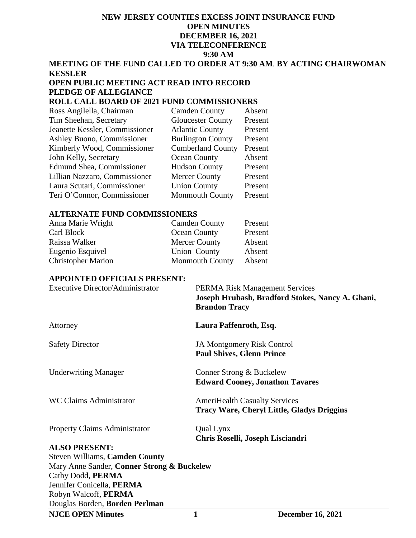# **NEW JERSEY COUNTIES EXCESS JOINT INSURANCE FUND OPEN MINUTES DECEMBER 16, 2021 VIA TELECONFERENCE 9:30 AM**

# **MEETING OF THE FUND CALLED TO ORDER AT 9:30 AM**. **BY ACTING CHAIRWOMAN KESSLER**

# **OPEN PUBLIC MEETING ACT READ INTO RECORD PLEDGE OF ALLEGIANCE**

# **ROLL CALL BOARD OF 2021 FUND COMMISSIONERS**

| Ross Angilella, Chairman          | <b>Camden County</b>     | Absent  |
|-----------------------------------|--------------------------|---------|
| Tim Sheehan, Secretary            | <b>Gloucester County</b> | Present |
| Jeanette Kessler, Commissioner    | <b>Atlantic County</b>   | Present |
| <b>Ashley Buono, Commissioner</b> | <b>Burlington County</b> | Present |
| Kimberly Wood, Commissioner       | <b>Cumberland County</b> | Present |
| John Kelly, Secretary             | Ocean County             | Absent  |
| <b>Edmund Shea, Commissioner</b>  | <b>Hudson County</b>     | Present |
| Lillian Nazzaro, Commissioner     | <b>Mercer County</b>     | Present |
| Laura Scutari, Commissioner       | <b>Union County</b>      | Present |
| Teri O'Connor, Commissioner       | <b>Monmouth County</b>   | Present |

#### **ALTERNATE FUND COMMISSIONERS**

| Anna Marie Wright         | <b>Camden County</b>   | Present |
|---------------------------|------------------------|---------|
| Carl Block                | Ocean County           | Present |
| Raissa Walker             | <b>Mercer County</b>   | Absent  |
| Eugenio Esquivel          | Union County           | Absent  |
| <b>Christopher Marion</b> | <b>Monmouth County</b> | Absent  |

#### **APPOINTED OFFICIALS PRESENT:**

| <b>Executive Director/Administrator</b>    | <b>PERMA Risk Management Services</b><br>Joseph Hrubash, Bradford Stokes, Nancy A. Ghani,<br><b>Brandon Tracy</b> |
|--------------------------------------------|-------------------------------------------------------------------------------------------------------------------|
| Attorney                                   | Laura Paffenroth, Esq.                                                                                            |
| <b>Safety Director</b>                     | <b>JA Montgomery Risk Control</b><br><b>Paul Shives, Glenn Prince</b>                                             |
| <b>Underwriting Manager</b>                | Conner Strong & Buckelew<br><b>Edward Cooney, Jonathon Tavares</b>                                                |
| <b>WC Claims Administrator</b>             | <b>AmeriHealth Casualty Services</b><br><b>Tracy Ware, Cheryl Little, Gladys Driggins</b>                         |
| <b>Property Claims Administrator</b>       | Qual Lynx<br>Chris Roselli, Joseph Lisciandri                                                                     |
| <b>ALSO PRESENT:</b>                       |                                                                                                                   |
| <b>Steven Williams, Camden County</b>      |                                                                                                                   |
| Mary Anne Sander, Conner Strong & Buckelew |                                                                                                                   |
| Cathy Dodd, PERMA                          |                                                                                                                   |
| Jennifer Conicella, PERMA                  |                                                                                                                   |
| Robyn Walcoff, PERMA                       |                                                                                                                   |
| Douglas Borden, Borden Perlman             |                                                                                                                   |

**NJCE OPEN Minutes 1 December 16, 2021**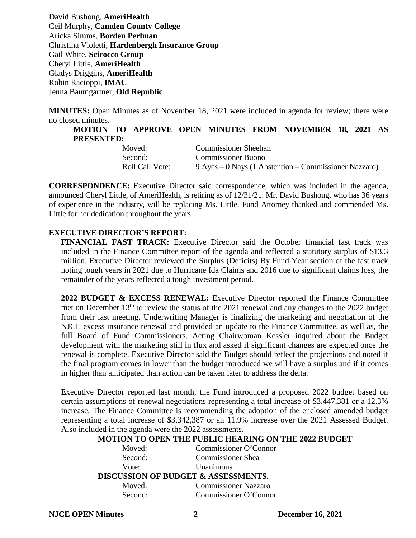David Bushong, **AmeriHealth** Ceil Murphy, **Camden County College** Aricka Simms, **Borden Perlman** Christina Violetti, **Hardenbergh Insurance Group** Gail White, **Scirocco Group** Cheryl Little, **AmeriHealth** Gladys Driggins, **AmeriHealth** Robin Racioppi, **IMAC**  Jenna Baumgartner, **Old Republic**

**MINUTES:** Open Minutes as of November 18, 2021 were included in agenda for review; there were no closed minutes.

**MOTION TO APPROVE OPEN MINUTES FROM NOVEMBER 18, 2021 AS PRESENTED:**

| Moved:          | <b>Commissioner Sheehan</b>                           |
|-----------------|-------------------------------------------------------|
| Second:         | <b>Commissioner Buono</b>                             |
| Roll Call Vote: | 9 Ayes – 0 Nays (1 Abstention – Commissioner Nazzaro) |

**CORRESPONDENCE:** Executive Director said correspondence, which was included in the agenda, announced Cheryl Little, of AmeriHealth, is retiring as of 12/31/21. Mr. David Bushong, who has 36 years of experience in the industry, will be replacing Ms. Little. Fund Attorney thanked and commended Ms. Little for her dedication throughout the years.

# **EXECUTIVE DIRECTOR'S REPORT:**

**FINANCIAL FAST TRACK:** Executive Director said the October financial fast track was included in the Finance Committee report of the agenda and reflected a statutory surplus of \$13.3 million. Executive Director reviewed the Surplus (Deficits) By Fund Year section of the fast track noting tough years in 2021 due to Hurricane Ida Claims and 2016 due to significant claims loss, the remainder of the years reflected a tough investment period.

**2022 BUDGET & EXCESS RENEWAL:** Executive Director reported the Finance Committee met on December 13<sup>th</sup> to review the status of the 2021 renewal and any changes to the 2022 budget from their last meeting. Underwriting Manager is finalizing the marketing and negotiation of the NJCE excess insurance renewal and provided an update to the Finance Committee, as well as, the full Board of Fund Commissioners. Acting Chairwoman Kessler inquired about the Budget development with the marketing still in flux and asked if significant changes are expected once the renewal is complete. Executive Director said the Budget should reflect the projections and noted if the final program comes in lower than the budget introduced we will have a surplus and if it comes in higher than anticipated than action can be taken later to address the delta.

Executive Director reported last month, the Fund introduced a proposed 2022 budget based on certain assumptions of renewal negotiations representing a total increase of \$3,447,381 or a 12.3% increase. The Finance Committee is recommending the adoption of the enclosed amended budget representing a total increase of \$3,342,387 or an 11.9% increase over the 2021 Assessed Budget. Also included in the agenda were the 2022 assessments.

# **MOTION TO OPEN THE PUBLIC HEARING ON THE 2022 BUDGET**

| Moved:  | Commissioner O'Connor                          |  |
|---------|------------------------------------------------|--|
| Second: | <b>Commissioner Shea</b>                       |  |
| Vote:   | Unanimous                                      |  |
|         | <b>DISCUSSION OF BUDGET &amp; ASSESSMENTS.</b> |  |
| Moved:  | <b>Commissioner Nazzaro</b>                    |  |
| Second: | Commissioner O'Connor                          |  |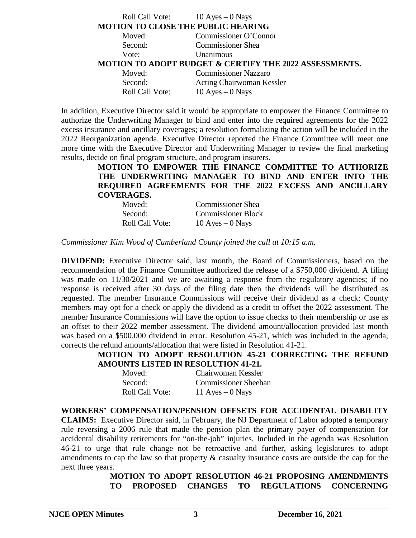| Roll Call Vote: $10 \text{ Ayes} - 0 \text{ Nays}$ |                                                                   |
|----------------------------------------------------|-------------------------------------------------------------------|
| MOTION TO CLOSE THE PUBLIC HEARING                 |                                                                   |
| Moved:                                             | Commissioner O'Connor                                             |
| Second:                                            | <b>Commissioner Shea</b>                                          |
| Vote:                                              | Unanimous                                                         |
|                                                    | <b>MOTION TO ADOPT BUDGET &amp; CERTIFY THE 2022 ASSESSMENTS.</b> |
| Moved:                                             | <b>Commissioner Nazzaro</b>                                       |
| Second:                                            | <b>Acting Chairwoman Kessler</b>                                  |
| <b>Roll Call Vote:</b>                             | $10$ Ayes $-0$ Nays                                               |

In addition, Executive Director said it would be appropriate to empower the Finance Committee to authorize the Underwriting Manager to bind and enter into the required agreements for the 2022 excess insurance and ancillary coverages; a resolution formalizing the action will be included in the 2022 Reorganization agenda. Executive Director reported the Finance Committee will meet one more time with the Executive Director and Underwriting Manager to review the final marketing results, decide on final program structure, and program insurers.

> **MOTION TO EMPOWER THE FINANCE COMMITTEE TO AUTHORIZE THE UNDERWRITING MANAGER TO BIND AND ENTER INTO THE REQUIRED AGREEMENTS FOR THE 2022 EXCESS AND ANCILLARY COVERAGES.**

| Moved:                 | <b>Commissioner Shea</b>  |
|------------------------|---------------------------|
| Second:                | <b>Commissioner Block</b> |
| <b>Roll Call Vote:</b> | $10$ Ayes $-0$ Nays       |

*Commissioner Kim Wood of Cumberland County joined the call at 10:15 a.m.* 

**DIVIDEND:** Executive Director said, last month, the Board of Commissioners, based on the recommendation of the Finance Committee authorized the release of a \$750,000 dividend. A filing was made on  $11/30/2021$  and we are awaiting a response from the regulatory agencies; if no response is received after 30 days of the filing date then the dividends will be distributed as requested. The member Insurance Commissions will receive their dividend as a check; County members may opt for a check or apply the dividend as a credit to offset the 2022 assessment. The member Insurance Commissions will have the option to issue checks to their membership or use as an offset to their 2022 member assessment. The dividend amount/allocation provided last month was based on a \$500,000 dividend in error. Resolution 45-21, which was included in the agenda, corrects the refund amounts/allocation that were listed in Resolution 41-21.

**MOTION TO ADOPT RESOLUTION 45-21 CORRECTING THE REFUND AMOUNTS LISTED IN RESOLUTION 41-21.**

| Moved:          | Chairwoman Kessler          |
|-----------------|-----------------------------|
| Second:         | <b>Commissioner Sheehan</b> |
| Roll Call Vote: | 11 Ayes $-0$ Nays           |

**WORKERS' COMPENSATION/PENSION OFFSETS FOR ACCIDENTAL DISABILITY CLAIMS:** Executive Director said, in February, the NJ Department of Labor adopted a temporary rule reversing a 2006 rule that made the pension plan the primary payer of compensation for accidental disability retirements for "on-the-job" injuries. Included in the agenda was Resolution 46-21 to urge that rule change not be retroactive and further, asking legislatures to adopt amendments to cap the law so that property & casualty insurance costs are outside the cap for the next three years.

> **MOTION TO ADOPT RESOLUTION 46-21 PROPOSING AMENDMENTS TO PROPOSED CHANGES TO REGULATIONS CONCERNING**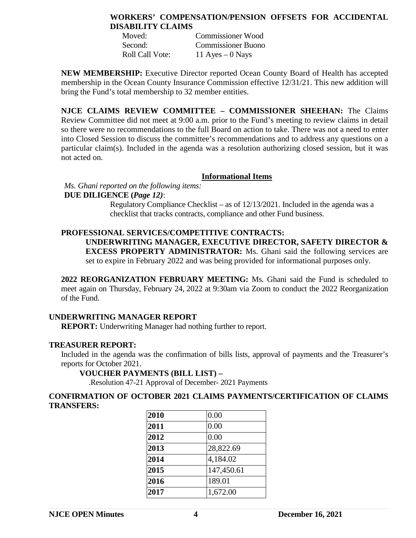# **WORKERS' COMPENSATION/PENSION OFFSETS FOR ACCIDENTAL DISABILITY CLAIMS**

| Moved:          | Commissioner Wood  |
|-----------------|--------------------|
| Second:         | Commissioner Buono |
| Roll Call Vote: | 11 Ayes $-0$ Nays  |

**NEW MEMBERSHIP:** Executive Director reported Ocean County Board of Health has accepted membership in the Ocean County Insurance Commission effective 12/31/21. This new addition will bring the Fund's total membership to 32 member entities.

**NJCE CLAIMS REVIEW COMMITTEE – COMMISSIONER SHEEHAN:** The Claims Review Committee did not meet at 9:00 a.m. prior to the Fund's meeting to review claims in detail so there were no recommendations to the full Board on action to take. There was not a need to enter into Closed Session to discuss the committee's recommendations and to address any questions on a particular claim(s). Included in the agenda was a resolution authorizing closed session, but it was not acted on.

#### **Informational Items**

# *Ms. Ghani reported on the following items:*

# **DUE DILIGENCE (***Page 12)*:

Regulatory Compliance Checklist – as of 12/13/2021. Included in the agenda was a checklist that tracks contracts, compliance and other Fund business.

# **PROFESSIONAL SERVICES/COMPETITIVE CONTRACTS:**

**UNDERWRITING MANAGER, EXECUTIVE DIRECTOR, SAFETY DIRECTOR & EXCESS PROPERTY ADMINISTRATOR:** Ms. Ghani said the following services are set to expire in February 2022 and was being provided for informational purposes only.

**2022 REORGANIZATION FEBRUARY MEETING:** Ms. Ghani said the Fund is scheduled to meet again on Thursday, February 24, 2022 at 9:30am via Zoom to conduct the 2022 Reorganization of the Fund.

#### **UNDERWRITING MANAGER REPORT**

**REPORT:** Underwriting Manager had nothing further to report.

#### **TREASURER REPORT:**

Included in the agenda was the confirmation of bills lists, approval of payments and the Treasurer's reports for October 2021.

#### **VOUCHER PAYMENTS (BILL LIST) –**

.Resolution 47-21 Approval of December- 2021 Payments

#### **CONFIRMATION OF OCTOBER 2021 CLAIMS PAYMENTS/CERTIFICATION OF CLAIMS TRANSFERS:**

| 2010 | 0.00       |
|------|------------|
| 2011 | 0.00       |
| 2012 | 0.00       |
| 2013 | 28,822.69  |
| 2014 | 4,184.02   |
| 2015 | 147,450.61 |
| 2016 | 189.01     |
| 2017 | 1,672.00   |
|      |            |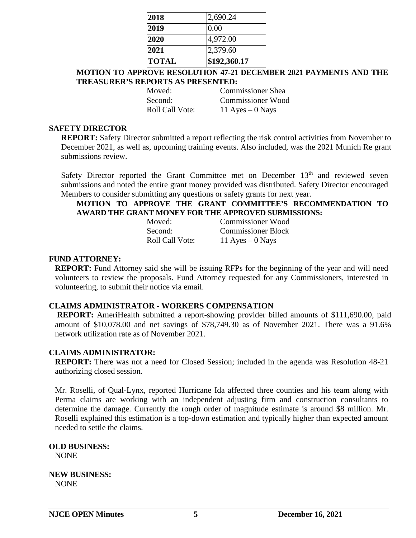| <b>TOTAL</b> | \$192,360.17 |
|--------------|--------------|
| 2021         | 2,379.60     |
| 2020         | 4,972.00     |
| 2019         | 0.00         |
| 2018         | 2,690.24     |

**MOTION TO APPROVE RESOLUTION 47-21 DECEMBER 2021 PAYMENTS AND THE TREASURER'S REPORTS AS PRESENTED:**

Moved: Commissioner Shea Second: Commissioner Wood Roll Call Vote:  $11$  Ayes – 0 Nays

### **SAFETY DIRECTOR**

**REPORT:** Safety Director submitted a report reflecting the risk control activities from November to December 2021, as well as, upcoming training events. Also included, was the 2021 Munich Re grant submissions review.

Safety Director reported the Grant Committee met on December  $13<sup>th</sup>$  and reviewed seven submissions and noted the entire grant money provided was distributed. Safety Director encouraged Members to consider submitting any questions or safety grants for next year.

# **MOTION TO APPROVE THE GRANT COMMITTEE'S RECOMMENDATION TO AWARD THE GRANT MONEY FOR THE APPROVED SUBMISSIONS:**

| Moved:                 | <b>Commissioner Wood</b>  |
|------------------------|---------------------------|
| Second:                | <b>Commissioner Block</b> |
| <b>Roll Call Vote:</b> | 11 Ayes $-0$ Nays         |

#### **FUND ATTORNEY:**

**REPORT:** Fund Attorney said she will be issuing RFPs for the beginning of the year and will need volunteers to review the proposals. Fund Attorney requested for any Commissioners, interested in volunteering, to submit their notice via email.

#### **CLAIMS ADMINISTRATOR - WORKERS COMPENSATION**

**REPORT:** AmeriHealth submitted a report-showing provider billed amounts of \$111,690.00, paid amount of \$10,078.00 and net savings of \$78,749.30 as of November 2021. There was a 91.6% network utilization rate as of November 2021.

#### **CLAIMS ADMINISTRATOR:**

**REPORT:** There was not a need for Closed Session; included in the agenda was Resolution 48-21 authorizing closed session.

Mr. Roselli, of Qual-Lynx, reported Hurricane Ida affected three counties and his team along with Perma claims are working with an independent adjusting firm and construction consultants to determine the damage. Currently the rough order of magnitude estimate is around \$8 million. Mr. Roselli explained this estimation is a top-down estimation and typically higher than expected amount needed to settle the claims.

#### **OLD BUSINESS:** NONE

**NEW BUSINESS:** NONE